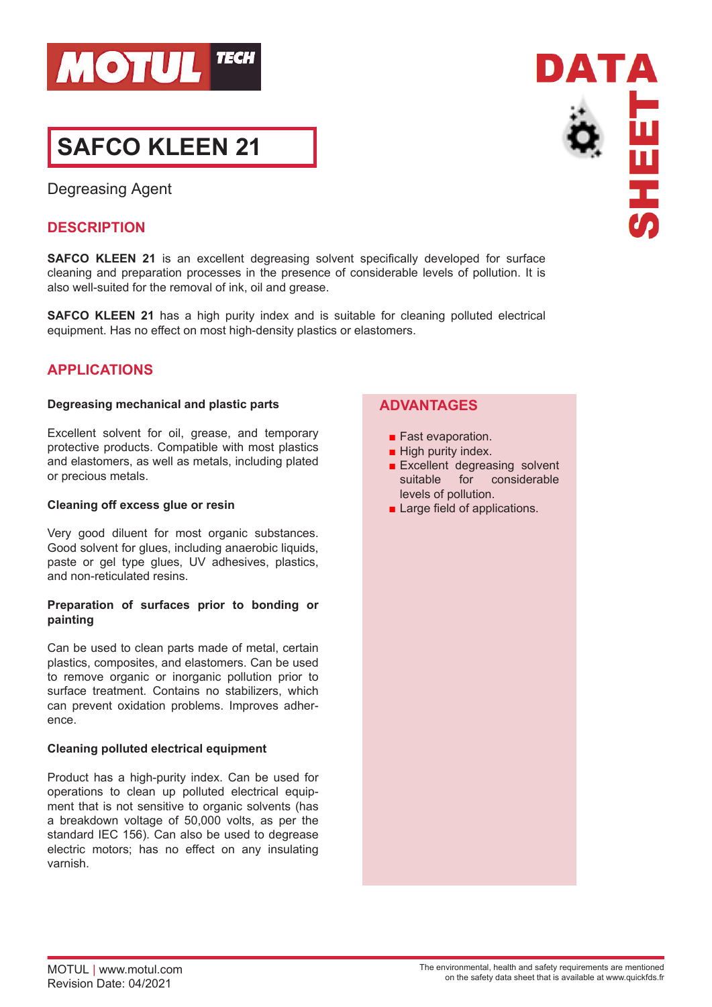

# **SAFCO KLEEN 21**

Degreasing Agent

# **DESCRIPTION**

**SAFCO KLEEN 21** is an excellent degreasing solvent specifically developed for surface cleaning and preparation processes in the presence of considerable levels of pollution. It is also well-suited for the removal of ink, oil and grease.

**SAFCO KLEEN 21** has a high purity index and is suitable for cleaning polluted electrical equipment. Has no effect on most high-density plastics or elastomers.

# **APPLICATIONS**

## **Degreasing mechanical and plastic parts**

Excellent solvent for oil, grease, and temporary protective products. Compatible with most plastics and elastomers, as well as metals, including plated or precious metals.

## **Cleaning off excess glue or resin**

Very good diluent for most organic substances. Good solvent for glues, including anaerobic liquids, paste or gel type glues, UV adhesives, plastics, and non-reticulated resins.

## **Preparation of surfaces prior to bonding or painting**

Can be used to clean parts made of metal, certain plastics, composites, and elastomers. Can be used to remove organic or inorganic pollution prior to surface treatment. Contains no stabilizers, which can prevent oxidation problems. Improves adherence.

## **Cleaning polluted electrical equipment**

Product has a high-purity index. Can be used for operations to clean up polluted electrical equipment that is not sensitive to organic solvents (has a breakdown voltage of 50,000 volts, as per the standard IEC 156). Can also be used to degrease electric motors; has no effect on any insulating varnish.

## **ADVANTAGES**

- Fast evaporation.
- High purity index.
- Excellent degreasing solvent suitable for considerable levels of pollution.
- Large field of applications.